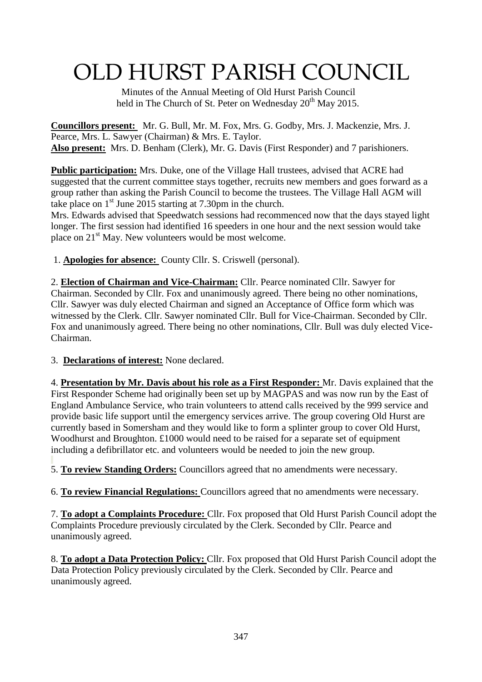# OLD HURST PARISH COUNCIL

 Minutes of the Annual Meeting of Old Hurst Parish Council held in The Church of St. Peter on Wednesday 20<sup>th</sup> May 2015.

**Councillors present:** Mr. G. Bull, Mr. M. Fox, Mrs. G. Godby, Mrs. J. Mackenzie, Mrs. J. Pearce, Mrs. L. Sawyer (Chairman) & Mrs. E. Taylor. **Also present:** Mrs. D. Benham (Clerk), Mr. G. Davis (First Responder) and 7 parishioners.

**Public participation:** Mrs. Duke, one of the Village Hall trustees, advised that ACRE had suggested that the current committee stays together, recruits new members and goes forward as a group rather than asking the Parish Council to become the trustees. The Village Hall AGM will take place on  $1<sup>st</sup>$  June 2015 starting at 7.30pm in the church.

Mrs. Edwards advised that Speedwatch sessions had recommenced now that the days stayed light longer. The first session had identified 16 speeders in one hour and the next session would take place on  $21<sup>st</sup>$  May. New volunteers would be most welcome.

1. **Apologies for absence:** County Cllr. S. Criswell (personal).

2. **Election of Chairman and Vice-Chairman:** Cllr. Pearce nominated Cllr. Sawyer for Chairman. Seconded by Cllr. Fox and unanimously agreed. There being no other nominations, Cllr. Sawyer was duly elected Chairman and signed an Acceptance of Office form which was witnessed by the Clerk. Cllr. Sawyer nominated Cllr. Bull for Vice-Chairman. Seconded by Cllr. Fox and unanimously agreed. There being no other nominations, Cllr. Bull was duly elected Vice-Chairman.

3. **Declarations of interest:** None declared.

4. **Presentation by Mr. Davis about his role as a First Responder:** Mr. Davis explained that the First Responder Scheme had originally been set up by MAGPAS and was now run by the East of England Ambulance Service, who train volunteers to attend calls received by the 999 service and provide basic life support until the emergency services arrive. The group covering Old Hurst are currently based in Somersham and they would like to form a splinter group to cover Old Hurst, Woodhurst and Broughton. £1000 would need to be raised for a separate set of equipment including a defibrillator etc. and volunteers would be needed to join the new group.

5. **To review Standing Orders:** Councillors agreed that no amendments were necessary.

6. **To review Financial Regulations:** Councillors agreed that no amendments were necessary.

7. **To adopt a Complaints Procedure:** Cllr. Fox proposed that Old Hurst Parish Council adopt the Complaints Procedure previously circulated by the Clerk. Seconded by Cllr. Pearce and unanimously agreed.

8. **To adopt a Data Protection Policy:** Cllr. Fox proposed that Old Hurst Parish Council adopt the Data Protection Policy previously circulated by the Clerk. Seconded by Cllr. Pearce and unanimously agreed.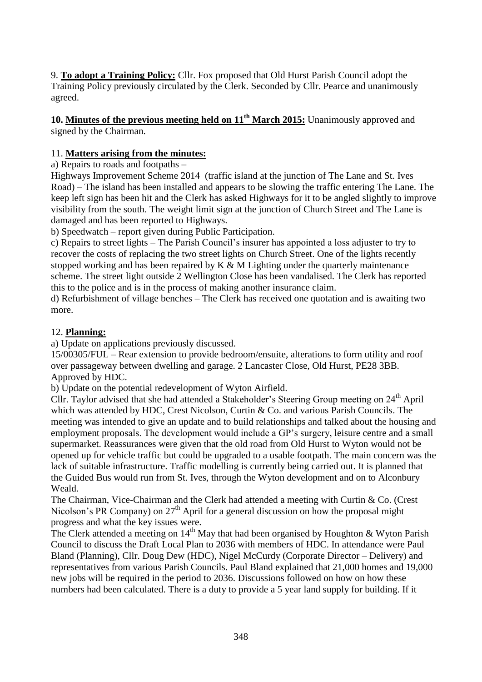9. **To adopt a Training Policy:** Cllr. Fox proposed that Old Hurst Parish Council adopt the Training Policy previously circulated by the Clerk. Seconded by Cllr. Pearce and unanimously agreed.

#### **10. Minutes of the previous meeting held on 11th March 2015:** Unanimously approved and signed by the Chairman.

### 11. **Matters arising from the minutes:**

a) Repairs to roads and footpaths –

Highways Improvement Scheme 2014 (traffic island at the junction of The Lane and St. Ives Road) – The island has been installed and appears to be slowing the traffic entering The Lane. The keep left sign has been hit and the Clerk has asked Highways for it to be angled slightly to improve visibility from the south. The weight limit sign at the junction of Church Street and The Lane is damaged and has been reported to Highways.

b) Speedwatch – report given during Public Participation.

c) Repairs to street lights – The Parish Council's insurer has appointed a loss adjuster to try to recover the costs of replacing the two street lights on Church Street. One of the lights recently stopped working and has been repaired by  $K \& M$  Lighting under the quarterly maintenance scheme. The street light outside 2 Wellington Close has been vandalised. The Clerk has reported this to the police and is in the process of making another insurance claim.

d) Refurbishment of village benches – The Clerk has received one quotation and is awaiting two more.

#### 12. **Planning:**

a) Update on applications previously discussed.

15/00305/FUL – Rear extension to provide bedroom/ensuite, alterations to form utility and roof over passageway between dwelling and garage. 2 Lancaster Close, Old Hurst, PE28 3BB. Approved by HDC.

b) Update on the potential redevelopment of Wyton Airfield.

Cllr. Taylor advised that she had attended a Stakeholder's Steering Group meeting on 24th April which was attended by HDC, Crest Nicolson, Curtin & Co. and various Parish Councils. The meeting was intended to give an update and to build relationships and talked about the housing and employment proposals. The development would include a GP's surgery, leisure centre and a small supermarket. Reassurances were given that the old road from Old Hurst to Wyton would not be opened up for vehicle traffic but could be upgraded to a usable footpath. The main concern was the lack of suitable infrastructure. Traffic modelling is currently being carried out. It is planned that the Guided Bus would run from St. Ives, through the Wyton development and on to Alconbury Weald.

The Chairman, Vice-Chairman and the Clerk had attended a meeting with Curtin & Co. (Crest Nicolson's PR Company) on  $27<sup>th</sup>$  April for a general discussion on how the proposal might progress and what the key issues were.

The Clerk attended a meeting on  $14<sup>th</sup>$  May that had been organised by Houghton & Wyton Parish Council to discuss the Draft Local Plan to 2036 with members of HDC. In attendance were Paul Bland (Planning), Cllr. Doug Dew (HDC), Nigel McCurdy (Corporate Director – Delivery) and representatives from various Parish Councils. Paul Bland explained that 21,000 homes and 19,000 new jobs will be required in the period to 2036. Discussions followed on how on how these numbers had been calculated. There is a duty to provide a 5 year land supply for building. If it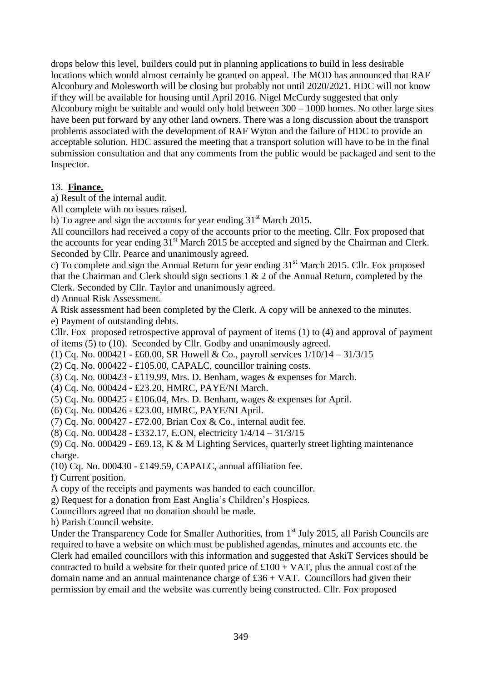drops below this level, builders could put in planning applications to build in less desirable locations which would almost certainly be granted on appeal. The MOD has announced that RAF Alconbury and Molesworth will be closing but probably not until 2020/2021. HDC will not know if they will be available for housing until April 2016. Nigel McCurdy suggested that only Alconbury might be suitable and would only hold between 300 – 1000 homes. No other large sites have been put forward by any other land owners. There was a long discussion about the transport problems associated with the development of RAF Wyton and the failure of HDC to provide an acceptable solution. HDC assured the meeting that a transport solution will have to be in the final submission consultation and that any comments from the public would be packaged and sent to the Inspector.

#### 13. **Finance.**

a) Result of the internal audit.

All complete with no issues raised.

b) To agree and sign the accounts for year ending  $31<sup>st</sup>$  March 2015.

All councillors had received a copy of the accounts prior to the meeting. Cllr. Fox proposed that the accounts for year ending  $31<sup>st</sup>$  March 2015 be accepted and signed by the Chairman and Clerk. Seconded by Cllr. Pearce and unanimously agreed.

c) To complete and sign the Annual Return for year ending  $31<sup>st</sup>$  March 2015. Cllr. Fox proposed that the Chairman and Clerk should sign sections 1 & 2 of the Annual Return, completed by the Clerk. Seconded by Cllr. Taylor and unanimously agreed.

d) Annual Risk Assessment.

A Risk assessment had been completed by the Clerk. A copy will be annexed to the minutes.

e) Payment of outstanding debts.

Cllr. Fox proposed retrospective approval of payment of items (1) to (4) and approval of payment of items (5) to (10). Seconded by Cllr. Godby and unanimously agreed.

(1) Cq. No. 000421 - £60.00, SR Howell & Co., payroll services 1/10/14 – 31/3/15

(2) Cq. No. 000422 - £105.00, CAPALC, councillor training costs.

(3) Cq. No. 000423 - £119.99, Mrs. D. Benham, wages & expenses for March.

(4) Cq. No. 000424 - £23.20, HMRC, PAYE/NI March.

(5) Cq. No. 000425 - £106.04, Mrs. D. Benham, wages & expenses for April.

(6) Cq. No. 000426 - £23.00, HMRC, PAYE/NI April.

(7) Cq. No. 000427 - £72.00, Brian Cox & Co., internal audit fee.

(8) Cq. No. 000428 - £332.17, E.ON, electricity 1/4/14 – 31/3/15

(9) Cq. No. 000429 - £69.13, K & M Lighting Services, quarterly street lighting maintenance charge.

(10) Cq. No. 000430 - £149.59, CAPALC, annual affiliation fee.

f) Current position.

A copy of the receipts and payments was handed to each councillor.

g) Request for a donation from East Anglia's Children's Hospices.

Councillors agreed that no donation should be made.

h) Parish Council website.

Under the Transparency Code for Smaller Authorities, from 1<sup>st</sup> July 2015, all Parish Councils are required to have a website on which must be published agendas, minutes and accounts etc. the Clerk had emailed councillors with this information and suggested that AskiT Services should be contracted to build a website for their quoted price of  $£100 + VAT$ , plus the annual cost of the domain name and an annual maintenance charge of  $£36 + VAT$ . Councillors had given their permission by email and the website was currently being constructed. Cllr. Fox proposed